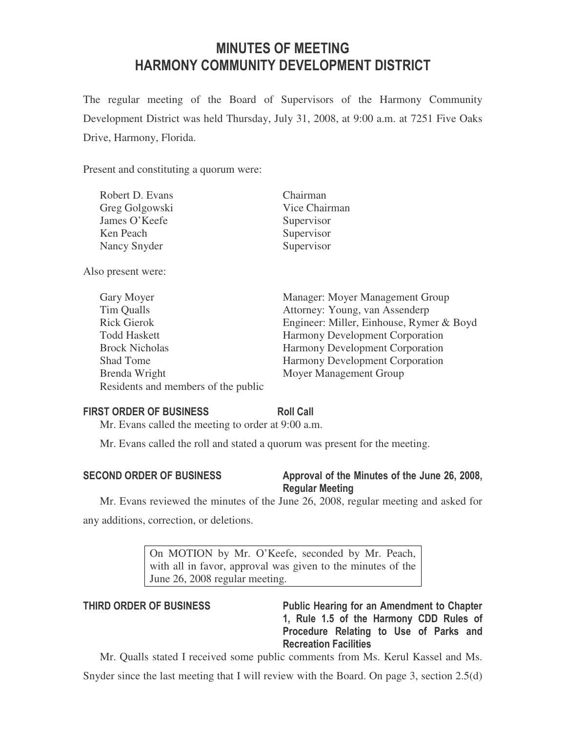# MINUTES OF MEETING HARMONY COMMUNITY DEVELOPMENT DISTRICT

The regular meeting of the Board of Supervisors of the Harmony Community Development District was held Thursday, July 31, 2008, at 9:00 a.m. at 7251 Five Oaks Drive, Harmony, Florida.

Present and constituting a quorum were:

| Robert D. Evans | Chairman      |
|-----------------|---------------|
| Greg Golgowski  | Vice Chairman |
| James O'Keefe   | Supervisor    |
| Ken Peach       | Supervisor    |
| Nancy Snyder    | Supervisor    |
|                 |               |

Also present were:

| Gary Moyer                          | Manager: Moyer Management Group          |
|-------------------------------------|------------------------------------------|
| Tim Qualls                          | Attorney: Young, van Assenderp           |
| <b>Rick Gierok</b>                  | Engineer: Miller, Einhouse, Rymer & Boyd |
| <b>Todd Haskett</b>                 | <b>Harmony Development Corporation</b>   |
| <b>Brock Nicholas</b>               | <b>Harmony Development Corporation</b>   |
| Shad Tome                           | Harmony Development Corporation          |
| Brenda Wright                       | Moyer Management Group                   |
| Residents and members of the public |                                          |

# FIRST ORDER OF BUSINESS Roll Call

Mr. Evans called the meeting to order at 9:00 a.m.

Mr. Evans called the roll and stated a quorum was present for the meeting.

# SECOND ORDER OF BUSINESS Approval of the Minutes of the June 26, 2008, Regular Meeting

Mr. Evans reviewed the minutes of the June 26, 2008, regular meeting and asked for any additions, correction, or deletions.

> On MOTION by Mr. O'Keefe, seconded by Mr. Peach, with all in favor, approval was given to the minutes of the June 26, 2008 regular meeting.

THIRD ORDER OF BUSINESS Public Hearing for an Amendment to Chapter 1, Rule 1.5 of the Harmony CDD Rules of Procedure Relating to Use of Parks and Recreation Facilities

Mr. Qualls stated I received some public comments from Ms. Kerul Kassel and Ms.

Snyder since the last meeting that I will review with the Board. On page 3, section 2.5(d)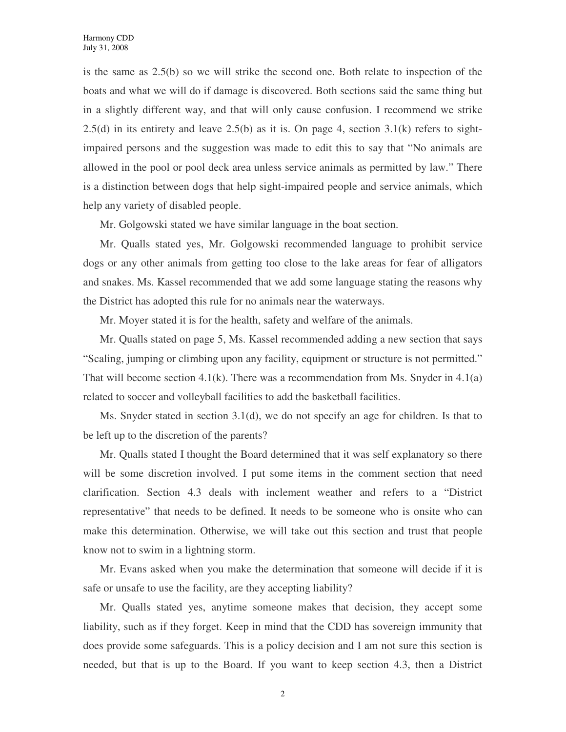is the same as 2.5(b) so we will strike the second one. Both relate to inspection of the boats and what we will do if damage is discovered. Both sections said the same thing but in a slightly different way, and that will only cause confusion. I recommend we strike  $2.5(d)$  in its entirety and leave  $2.5(b)$  as it is. On page 4, section  $3.1(k)$  refers to sightimpaired persons and the suggestion was made to edit this to say that "No animals are allowed in the pool or pool deck area unless service animals as permitted by law." There is a distinction between dogs that help sight-impaired people and service animals, which help any variety of disabled people.

Mr. Golgowski stated we have similar language in the boat section.

Mr. Qualls stated yes, Mr. Golgowski recommended language to prohibit service dogs or any other animals from getting too close to the lake areas for fear of alligators and snakes. Ms. Kassel recommended that we add some language stating the reasons why the District has adopted this rule for no animals near the waterways.

Mr. Moyer stated it is for the health, safety and welfare of the animals.

Mr. Qualls stated on page 5, Ms. Kassel recommended adding a new section that says "Scaling, jumping or climbing upon any facility, equipment or structure is not permitted." That will become section  $4.1(k)$ . There was a recommendation from Ms. Snyder in  $4.1(a)$ related to soccer and volleyball facilities to add the basketball facilities.

Ms. Snyder stated in section 3.1(d), we do not specify an age for children. Is that to be left up to the discretion of the parents?

Mr. Qualls stated I thought the Board determined that it was self explanatory so there will be some discretion involved. I put some items in the comment section that need clarification. Section 4.3 deals with inclement weather and refers to a "District representative" that needs to be defined. It needs to be someone who is onsite who can make this determination. Otherwise, we will take out this section and trust that people know not to swim in a lightning storm.

Mr. Evans asked when you make the determination that someone will decide if it is safe or unsafe to use the facility, are they accepting liability?

Mr. Qualls stated yes, anytime someone makes that decision, they accept some liability, such as if they forget. Keep in mind that the CDD has sovereign immunity that does provide some safeguards. This is a policy decision and I am not sure this section is needed, but that is up to the Board. If you want to keep section 4.3, then a District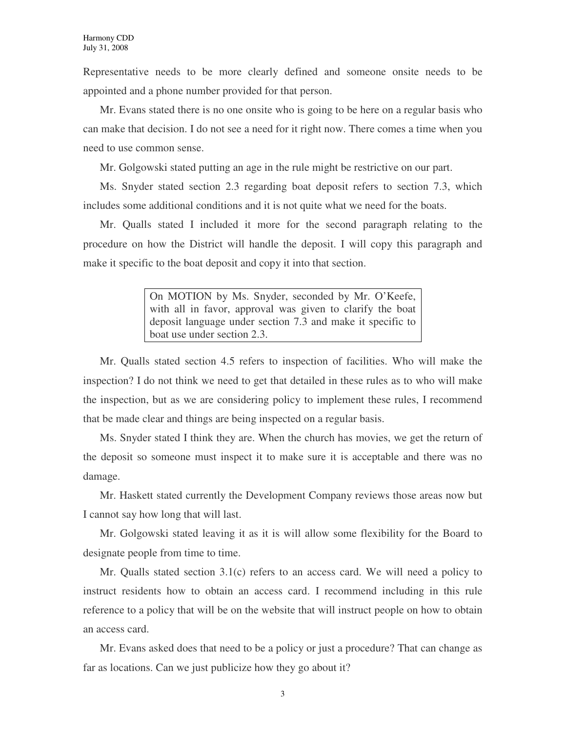Representative needs to be more clearly defined and someone onsite needs to be appointed and a phone number provided for that person.

Mr. Evans stated there is no one onsite who is going to be here on a regular basis who can make that decision. I do not see a need for it right now. There comes a time when you need to use common sense.

Mr. Golgowski stated putting an age in the rule might be restrictive on our part.

Ms. Snyder stated section 2.3 regarding boat deposit refers to section 7.3, which includes some additional conditions and it is not quite what we need for the boats.

Mr. Qualls stated I included it more for the second paragraph relating to the procedure on how the District will handle the deposit. I will copy this paragraph and make it specific to the boat deposit and copy it into that section.

> On MOTION by Ms. Snyder, seconded by Mr. O'Keefe, with all in favor, approval was given to clarify the boat deposit language under section 7.3 and make it specific to boat use under section 2.3.

Mr. Qualls stated section 4.5 refers to inspection of facilities. Who will make the inspection? I do not think we need to get that detailed in these rules as to who will make the inspection, but as we are considering policy to implement these rules, I recommend that be made clear and things are being inspected on a regular basis.

Ms. Snyder stated I think they are. When the church has movies, we get the return of the deposit so someone must inspect it to make sure it is acceptable and there was no damage.

Mr. Haskett stated currently the Development Company reviews those areas now but I cannot say how long that will last.

Mr. Golgowski stated leaving it as it is will allow some flexibility for the Board to designate people from time to time.

Mr. Qualls stated section 3.1(c) refers to an access card. We will need a policy to instruct residents how to obtain an access card. I recommend including in this rule reference to a policy that will be on the website that will instruct people on how to obtain an access card.

Mr. Evans asked does that need to be a policy or just a procedure? That can change as far as locations. Can we just publicize how they go about it?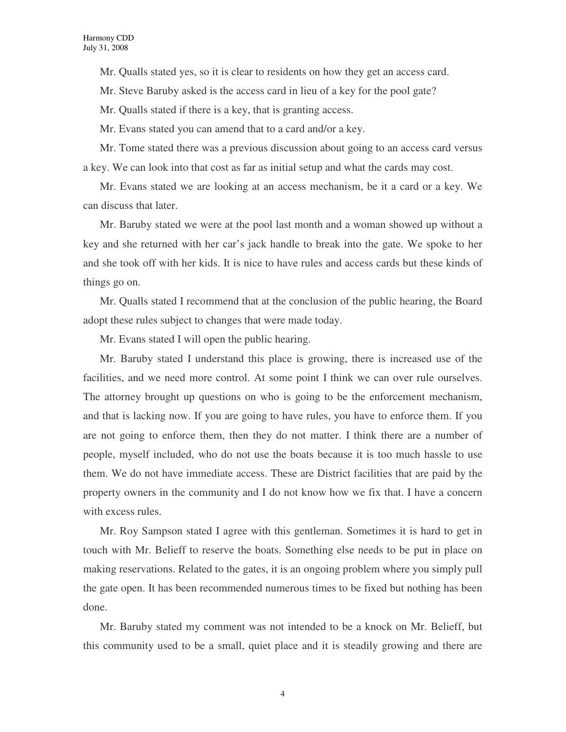Mr. Qualls stated yes, so it is clear to residents on how they get an access card.

Mr. Steve Baruby asked is the access card in lieu of a key for the pool gate?

Mr. Qualls stated if there is a key, that is granting access.

Mr. Evans stated you can amend that to a card and/or a key.

Mr. Tome stated there was a previous discussion about going to an access card versus a key. We can look into that cost as far as initial setup and what the cards may cost.

Mr. Evans stated we are looking at an access mechanism, be it a card or a key. We can discuss that later.

Mr. Baruby stated we were at the pool last month and a woman showed up without a key and she returned with her car's jack handle to break into the gate. We spoke to her and she took off with her kids. It is nice to have rules and access cards but these kinds of things go on.

Mr. Qualls stated I recommend that at the conclusion of the public hearing, the Board adopt these rules subject to changes that were made today.

Mr. Evans stated I will open the public hearing.

Mr. Baruby stated I understand this place is growing, there is increased use of the facilities, and we need more control. At some point I think we can over rule ourselves. The attorney brought up questions on who is going to be the enforcement mechanism, and that is lacking now. If you are going to have rules, you have to enforce them. If you are not going to enforce them, then they do not matter. I think there are a number of people, myself included, who do not use the boats because it is too much hassle to use them. We do not have immediate access. These are District facilities that are paid by the property owners in the community and I do not know how we fix that. I have a concern with excess rules.

Mr. Roy Sampson stated I agree with this gentleman. Sometimes it is hard to get in touch with Mr. Belieff to reserve the boats. Something else needs to be put in place on making reservations. Related to the gates, it is an ongoing problem where you simply pull the gate open. It has been recommended numerous times to be fixed but nothing has been done.

Mr. Baruby stated my comment was not intended to be a knock on Mr. Belieff, but this community used to be a small, quiet place and it is steadily growing and there are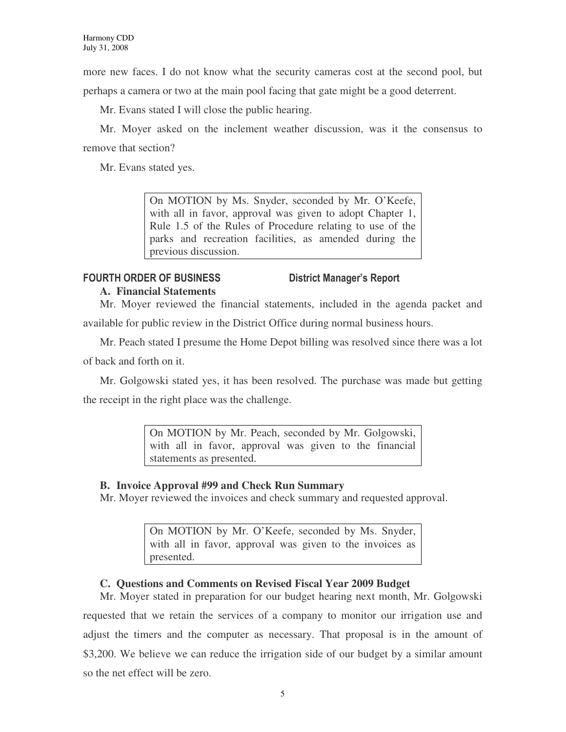more new faces. I do not know what the security cameras cost at the second pool, but perhaps a camera or two at the main pool facing that gate might be a good deterrent.

Mr. Evans stated I will close the public hearing.

Mr. Moyer asked on the inclement weather discussion, was it the consensus to remove that section?

Mr. Evans stated yes.

On MOTION by Ms. Snyder, seconded by Mr. O'Keefe, with all in favor, approval was given to adopt Chapter 1, Rule 1.5 of the Rules of Procedure relating to use of the parks and recreation facilities, as amended during the previous discussion.

#### FOURTH ORDER OF BUSINESS District Manager's Report **A. Financial Statements**

Mr. Moyer reviewed the financial statements, included in the agenda packet and available for public review in the District Office during normal business hours.

Mr. Peach stated I presume the Home Depot billing was resolved since there was a lot of back and forth on it.

Mr. Golgowski stated yes, it has been resolved. The purchase was made but getting the receipt in the right place was the challenge.

> On MOTION by Mr. Peach, seconded by Mr. Golgowski, with all in favor, approval was given to the financial statements as presented.

# **B. Invoice Approval #99 and Check Run Summary**

Mr. Moyer reviewed the invoices and check summary and requested approval.

On MOTION by Mr. O'Keefe, seconded by Ms. Snyder, with all in favor, approval was given to the invoices as presented.

# **C. Questions and Comments on Revised Fiscal Year 2009 Budget**

Mr. Moyer stated in preparation for our budget hearing next month, Mr. Golgowski requested that we retain the services of a company to monitor our irrigation use and adjust the timers and the computer as necessary. That proposal is in the amount of \$3,200. We believe we can reduce the irrigation side of our budget by a similar amount so the net effect will be zero.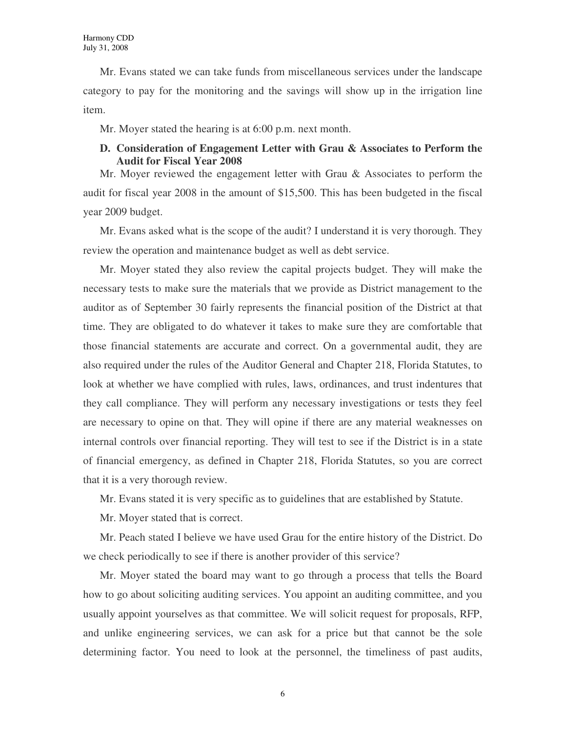Mr. Evans stated we can take funds from miscellaneous services under the landscape category to pay for the monitoring and the savings will show up in the irrigation line item.

Mr. Moyer stated the hearing is at 6:00 p.m. next month.

### **D. Consideration of Engagement Letter with Grau & Associates to Perform the Audit for Fiscal Year 2008**

Mr. Moyer reviewed the engagement letter with Grau & Associates to perform the audit for fiscal year 2008 in the amount of \$15,500. This has been budgeted in the fiscal year 2009 budget.

Mr. Evans asked what is the scope of the audit? I understand it is very thorough. They review the operation and maintenance budget as well as debt service.

Mr. Moyer stated they also review the capital projects budget. They will make the necessary tests to make sure the materials that we provide as District management to the auditor as of September 30 fairly represents the financial position of the District at that time. They are obligated to do whatever it takes to make sure they are comfortable that those financial statements are accurate and correct. On a governmental audit, they are also required under the rules of the Auditor General and Chapter 218, Florida Statutes, to look at whether we have complied with rules, laws, ordinances, and trust indentures that they call compliance. They will perform any necessary investigations or tests they feel are necessary to opine on that. They will opine if there are any material weaknesses on internal controls over financial reporting. They will test to see if the District is in a state of financial emergency, as defined in Chapter 218, Florida Statutes, so you are correct that it is a very thorough review.

Mr. Evans stated it is very specific as to guidelines that are established by Statute.

Mr. Moyer stated that is correct.

Mr. Peach stated I believe we have used Grau for the entire history of the District. Do we check periodically to see if there is another provider of this service?

Mr. Moyer stated the board may want to go through a process that tells the Board how to go about soliciting auditing services. You appoint an auditing committee, and you usually appoint yourselves as that committee. We will solicit request for proposals, RFP, and unlike engineering services, we can ask for a price but that cannot be the sole determining factor. You need to look at the personnel, the timeliness of past audits,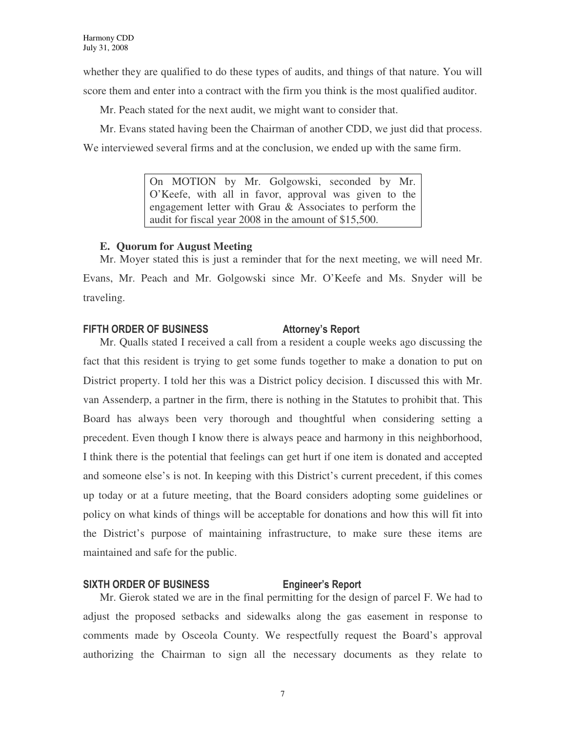whether they are qualified to do these types of audits, and things of that nature. You will score them and enter into a contract with the firm you think is the most qualified auditor.

Mr. Peach stated for the next audit, we might want to consider that.

Mr. Evans stated having been the Chairman of another CDD, we just did that process. We interviewed several firms and at the conclusion, we ended up with the same firm.

> On MOTION by Mr. Golgowski, seconded by Mr. O'Keefe, with all in favor, approval was given to the engagement letter with Grau & Associates to perform the audit for fiscal year 2008 in the amount of \$15,500.

### **E. Quorum for August Meeting**

Mr. Moyer stated this is just a reminder that for the next meeting, we will need Mr. Evans, Mr. Peach and Mr. Golgowski since Mr. O'Keefe and Ms. Snyder will be traveling.

# FIFTH ORDER OF BUSINESS Attorney's Report

Mr. Qualls stated I received a call from a resident a couple weeks ago discussing the fact that this resident is trying to get some funds together to make a donation to put on District property. I told her this was a District policy decision. I discussed this with Mr. van Assenderp, a partner in the firm, there is nothing in the Statutes to prohibit that. This Board has always been very thorough and thoughtful when considering setting a precedent. Even though I know there is always peace and harmony in this neighborhood, I think there is the potential that feelings can get hurt if one item is donated and accepted and someone else's is not. In keeping with this District's current precedent, if this comes up today or at a future meeting, that the Board considers adopting some guidelines or policy on what kinds of things will be acceptable for donations and how this will fit into the District's purpose of maintaining infrastructure, to make sure these items are maintained and safe for the public.

# SIXTH ORDER OF BUSINESS Engineer's Report

Mr. Gierok stated we are in the final permitting for the design of parcel F. We had to adjust the proposed setbacks and sidewalks along the gas easement in response to comments made by Osceola County. We respectfully request the Board's approval authorizing the Chairman to sign all the necessary documents as they relate to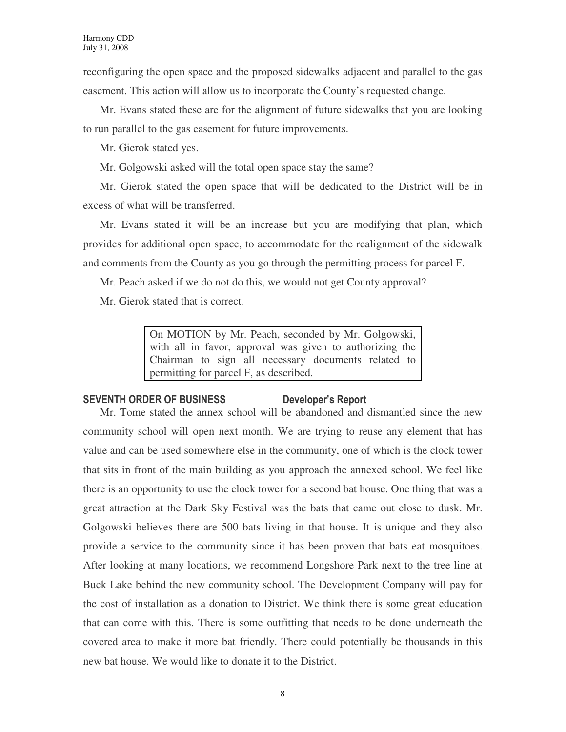reconfiguring the open space and the proposed sidewalks adjacent and parallel to the gas easement. This action will allow us to incorporate the County's requested change.

Mr. Evans stated these are for the alignment of future sidewalks that you are looking to run parallel to the gas easement for future improvements.

Mr. Gierok stated yes.

Mr. Golgowski asked will the total open space stay the same?

Mr. Gierok stated the open space that will be dedicated to the District will be in excess of what will be transferred.

Mr. Evans stated it will be an increase but you are modifying that plan, which provides for additional open space, to accommodate for the realignment of the sidewalk and comments from the County as you go through the permitting process for parcel F.

Mr. Peach asked if we do not do this, we would not get County approval?

Mr. Gierok stated that is correct.

On MOTION by Mr. Peach, seconded by Mr. Golgowski, with all in favor, approval was given to authorizing the Chairman to sign all necessary documents related to permitting for parcel F, as described.

### SEVENTH ORDER OF BUSINESS Developer's Report

Mr. Tome stated the annex school will be abandoned and dismantled since the new community school will open next month. We are trying to reuse any element that has value and can be used somewhere else in the community, one of which is the clock tower that sits in front of the main building as you approach the annexed school. We feel like there is an opportunity to use the clock tower for a second bat house. One thing that was a great attraction at the Dark Sky Festival was the bats that came out close to dusk. Mr. Golgowski believes there are 500 bats living in that house. It is unique and they also provide a service to the community since it has been proven that bats eat mosquitoes. After looking at many locations, we recommend Longshore Park next to the tree line at Buck Lake behind the new community school. The Development Company will pay for the cost of installation as a donation to District. We think there is some great education that can come with this. There is some outfitting that needs to be done underneath the covered area to make it more bat friendly. There could potentially be thousands in this new bat house. We would like to donate it to the District.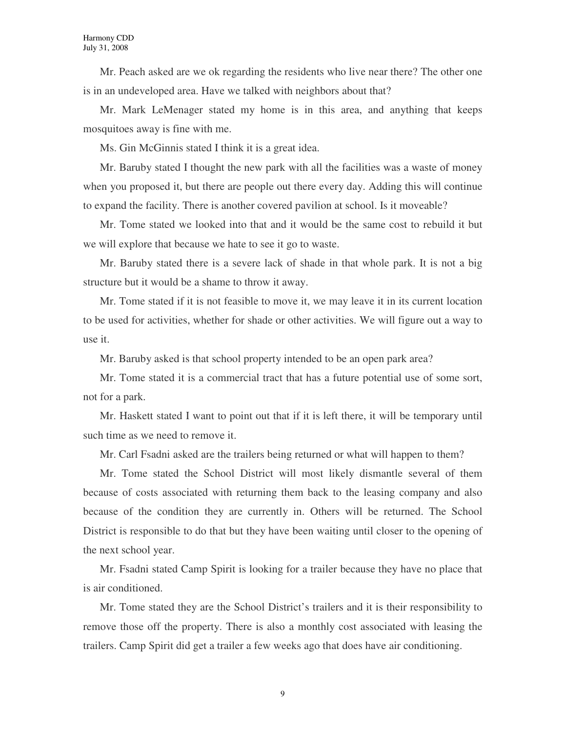Mr. Peach asked are we ok regarding the residents who live near there? The other one is in an undeveloped area. Have we talked with neighbors about that?

Mr. Mark LeMenager stated my home is in this area, and anything that keeps mosquitoes away is fine with me.

Ms. Gin McGinnis stated I think it is a great idea.

Mr. Baruby stated I thought the new park with all the facilities was a waste of money when you proposed it, but there are people out there every day. Adding this will continue to expand the facility. There is another covered pavilion at school. Is it moveable?

Mr. Tome stated we looked into that and it would be the same cost to rebuild it but we will explore that because we hate to see it go to waste.

Mr. Baruby stated there is a severe lack of shade in that whole park. It is not a big structure but it would be a shame to throw it away.

Mr. Tome stated if it is not feasible to move it, we may leave it in its current location to be used for activities, whether for shade or other activities. We will figure out a way to use it.

Mr. Baruby asked is that school property intended to be an open park area?

Mr. Tome stated it is a commercial tract that has a future potential use of some sort, not for a park.

Mr. Haskett stated I want to point out that if it is left there, it will be temporary until such time as we need to remove it.

Mr. Carl Fsadni asked are the trailers being returned or what will happen to them?

Mr. Tome stated the School District will most likely dismantle several of them because of costs associated with returning them back to the leasing company and also because of the condition they are currently in. Others will be returned. The School District is responsible to do that but they have been waiting until closer to the opening of the next school year.

Mr. Fsadni stated Camp Spirit is looking for a trailer because they have no place that is air conditioned.

Mr. Tome stated they are the School District's trailers and it is their responsibility to remove those off the property. There is also a monthly cost associated with leasing the trailers. Camp Spirit did get a trailer a few weeks ago that does have air conditioning.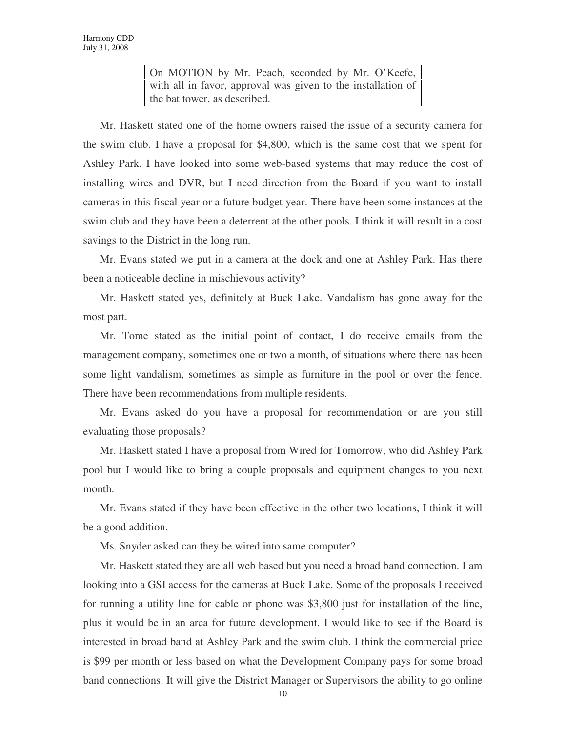On MOTION by Mr. Peach, seconded by Mr. O'Keefe, with all in favor, approval was given to the installation of the bat tower, as described.

Mr. Haskett stated one of the home owners raised the issue of a security camera for the swim club. I have a proposal for \$4,800, which is the same cost that we spent for Ashley Park. I have looked into some web-based systems that may reduce the cost of installing wires and DVR, but I need direction from the Board if you want to install cameras in this fiscal year or a future budget year. There have been some instances at the swim club and they have been a deterrent at the other pools. I think it will result in a cost savings to the District in the long run.

Mr. Evans stated we put in a camera at the dock and one at Ashley Park. Has there been a noticeable decline in mischievous activity?

Mr. Haskett stated yes, definitely at Buck Lake. Vandalism has gone away for the most part.

Mr. Tome stated as the initial point of contact, I do receive emails from the management company, sometimes one or two a month, of situations where there has been some light vandalism, sometimes as simple as furniture in the pool or over the fence. There have been recommendations from multiple residents.

Mr. Evans asked do you have a proposal for recommendation or are you still evaluating those proposals?

Mr. Haskett stated I have a proposal from Wired for Tomorrow, who did Ashley Park pool but I would like to bring a couple proposals and equipment changes to you next month.

Mr. Evans stated if they have been effective in the other two locations, I think it will be a good addition.

Ms. Snyder asked can they be wired into same computer?

Mr. Haskett stated they are all web based but you need a broad band connection. I am looking into a GSI access for the cameras at Buck Lake. Some of the proposals I received for running a utility line for cable or phone was \$3,800 just for installation of the line, plus it would be in an area for future development. I would like to see if the Board is interested in broad band at Ashley Park and the swim club. I think the commercial price is \$99 per month or less based on what the Development Company pays for some broad band connections. It will give the District Manager or Supervisors the ability to go online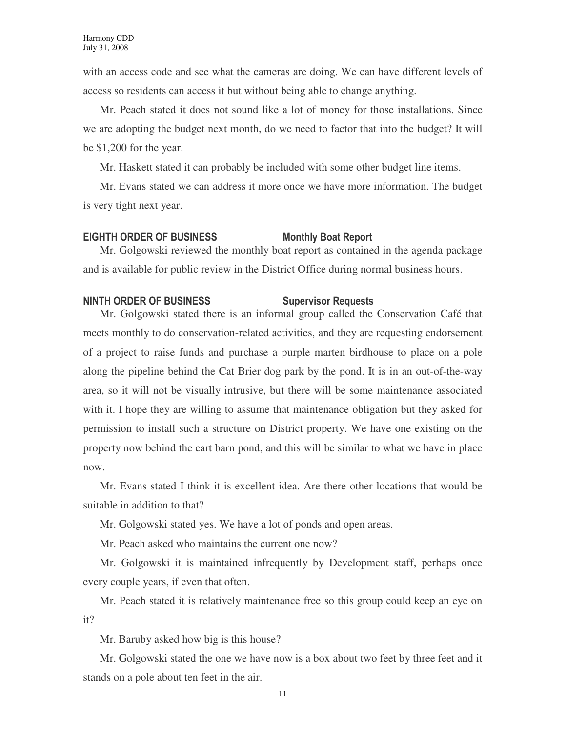with an access code and see what the cameras are doing. We can have different levels of access so residents can access it but without being able to change anything.

Mr. Peach stated it does not sound like a lot of money for those installations. Since we are adopting the budget next month, do we need to factor that into the budget? It will be \$1,200 for the year.

Mr. Haskett stated it can probably be included with some other budget line items.

Mr. Evans stated we can address it more once we have more information. The budget is very tight next year.

#### EIGHTH ORDER OF BUSINESS Monthly Boat Report

Mr. Golgowski reviewed the monthly boat report as contained in the agenda package and is available for public review in the District Office during normal business hours.

### NINTH ORDER OF BUSINESS Supervisor Requests

Mr. Golgowski stated there is an informal group called the Conservation Café that meets monthly to do conservation-related activities, and they are requesting endorsement of a project to raise funds and purchase a purple marten birdhouse to place on a pole along the pipeline behind the Cat Brier dog park by the pond. It is in an out-of-the-way area, so it will not be visually intrusive, but there will be some maintenance associated with it. I hope they are willing to assume that maintenance obligation but they asked for permission to install such a structure on District property. We have one existing on the property now behind the cart barn pond, and this will be similar to what we have in place now.

Mr. Evans stated I think it is excellent idea. Are there other locations that would be suitable in addition to that?

Mr. Golgowski stated yes. We have a lot of ponds and open areas.

Mr. Peach asked who maintains the current one now?

Mr. Golgowski it is maintained infrequently by Development staff, perhaps once every couple years, if even that often.

Mr. Peach stated it is relatively maintenance free so this group could keep an eye on it?

Mr. Baruby asked how big is this house?

Mr. Golgowski stated the one we have now is a box about two feet by three feet and it stands on a pole about ten feet in the air.

11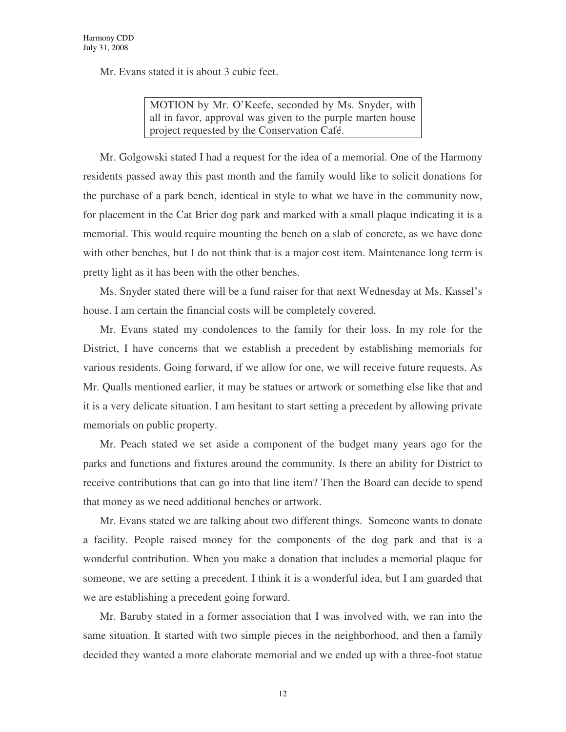Mr. Evans stated it is about 3 cubic feet.

MOTION by Mr. O'Keefe, seconded by Ms. Snyder, with all in favor, approval was given to the purple marten house project requested by the Conservation Café.

Mr. Golgowski stated I had a request for the idea of a memorial. One of the Harmony residents passed away this past month and the family would like to solicit donations for the purchase of a park bench, identical in style to what we have in the community now, for placement in the Cat Brier dog park and marked with a small plaque indicating it is a memorial. This would require mounting the bench on a slab of concrete, as we have done with other benches, but I do not think that is a major cost item. Maintenance long term is pretty light as it has been with the other benches.

Ms. Snyder stated there will be a fund raiser for that next Wednesday at Ms. Kassel's house. I am certain the financial costs will be completely covered.

Mr. Evans stated my condolences to the family for their loss. In my role for the District, I have concerns that we establish a precedent by establishing memorials for various residents. Going forward, if we allow for one, we will receive future requests. As Mr. Qualls mentioned earlier, it may be statues or artwork or something else like that and it is a very delicate situation. I am hesitant to start setting a precedent by allowing private memorials on public property.

Mr. Peach stated we set aside a component of the budget many years ago for the parks and functions and fixtures around the community. Is there an ability for District to receive contributions that can go into that line item? Then the Board can decide to spend that money as we need additional benches or artwork.

Mr. Evans stated we are talking about two different things. Someone wants to donate a facility. People raised money for the components of the dog park and that is a wonderful contribution. When you make a donation that includes a memorial plaque for someone, we are setting a precedent. I think it is a wonderful idea, but I am guarded that we are establishing a precedent going forward.

Mr. Baruby stated in a former association that I was involved with, we ran into the same situation. It started with two simple pieces in the neighborhood, and then a family decided they wanted a more elaborate memorial and we ended up with a three-foot statue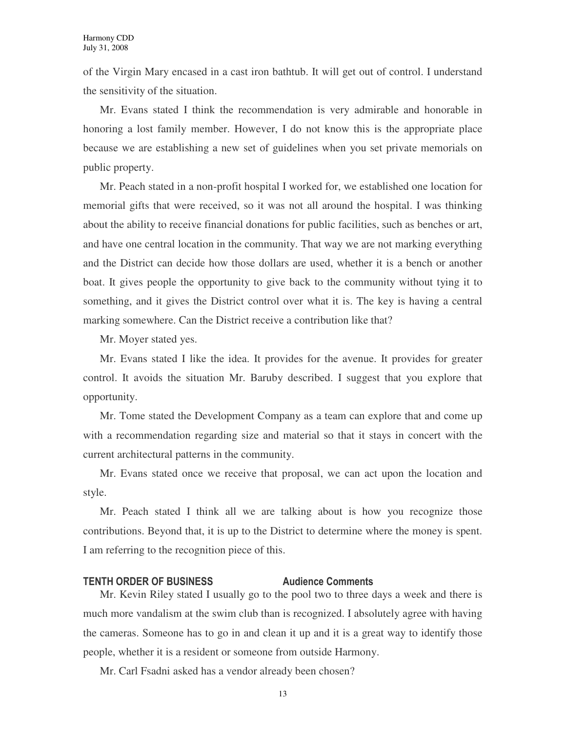of the Virgin Mary encased in a cast iron bathtub. It will get out of control. I understand the sensitivity of the situation.

Mr. Evans stated I think the recommendation is very admirable and honorable in honoring a lost family member. However, I do not know this is the appropriate place because we are establishing a new set of guidelines when you set private memorials on public property.

Mr. Peach stated in a non-profit hospital I worked for, we established one location for memorial gifts that were received, so it was not all around the hospital. I was thinking about the ability to receive financial donations for public facilities, such as benches or art, and have one central location in the community. That way we are not marking everything and the District can decide how those dollars are used, whether it is a bench or another boat. It gives people the opportunity to give back to the community without tying it to something, and it gives the District control over what it is. The key is having a central marking somewhere. Can the District receive a contribution like that?

Mr. Moyer stated yes.

Mr. Evans stated I like the idea. It provides for the avenue. It provides for greater control. It avoids the situation Mr. Baruby described. I suggest that you explore that opportunity.

Mr. Tome stated the Development Company as a team can explore that and come up with a recommendation regarding size and material so that it stays in concert with the current architectural patterns in the community.

Mr. Evans stated once we receive that proposal, we can act upon the location and style.

Mr. Peach stated I think all we are talking about is how you recognize those contributions. Beyond that, it is up to the District to determine where the money is spent. I am referring to the recognition piece of this.

# **TENTH ORDER OF BUSINESS Audience Comments**

Mr. Kevin Riley stated I usually go to the pool two to three days a week and there is much more vandalism at the swim club than is recognized. I absolutely agree with having the cameras. Someone has to go in and clean it up and it is a great way to identify those people, whether it is a resident or someone from outside Harmony.

Mr. Carl Fsadni asked has a vendor already been chosen?